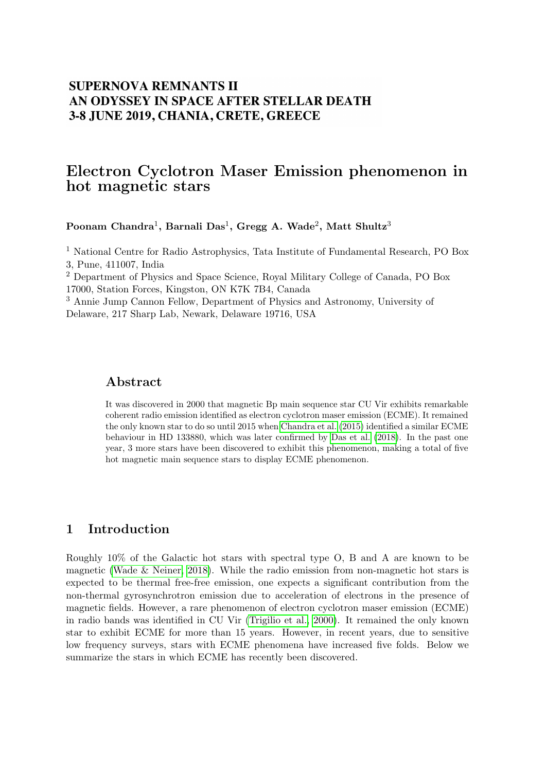## **SUPERNOVA REMNANTS II** AN ODYSSEY IN SPACE AFTER STELLAR DEATH 3-8 JUNE 2019, CHANIA, CRETE, GREECE

# Electron Cyclotron Maser Emission phenomenon in hot magnetic stars

Poonam Chandra $^1,$  Barnali Das $^1,$  Gregg A. Wade $^2,$  Matt Shultz $^3$ 

<sup>1</sup> National Centre for Radio Astrophysics, Tata Institute of Fundamental Research, PO Box 3, Pune, 411007, India

<sup>2</sup> Department of Physics and Space Science, Royal Military College of Canada, PO Box 17000, Station Forces, Kingston, ON K7K 7B4, Canada

<sup>3</sup> Annie Jump Cannon Fellow, Department of Physics and Astronomy, University of Delaware, 217 Sharp Lab, Newark, Delaware 19716, USA

### Abstract

It was discovered in 2000 that magnetic Bp main sequence star CU Vir exhibits remarkable coherent radio emission identified as electron cyclotron maser emission (ECME). It remained the only known star to do so until 2015 when [Chandra et al.](#page-2-0) [\(2015\)](#page-2-0) identified a similar ECME behaviour in HD 133880, which was later confirmed by [Das et al.](#page-2-1) [\(2018\)](#page-2-1). In the past one year, 3 more stars have been discovered to exhibit this phenomenon, making a total of five hot magnetic main sequence stars to display ECME phenomenon.

## 1 Introduction

Roughly 10% of the Galactic hot stars with spectral type O, B and A are known to be magnetic (Wade  $\&$  Neiner, 2018). While the radio emission from non-magnetic hot stars is expected to be thermal free-free emission, one expects a significant contribution from the non-thermal gyrosynchrotron emission due to acceleration of electrons in the presence of magnetic fields. However, a rare phenomenon of electron cyclotron maser emission (ECME) in radio bands was identified in CU Vir [\(Trigilio et al., 2000\)](#page-2-3). It remained the only known star to exhibit ECME for more than 15 years. However, in recent years, due to sensitive low frequency surveys, stars with ECME phenomena have increased five folds. Below we summarize the stars in which ECME has recently been discovered.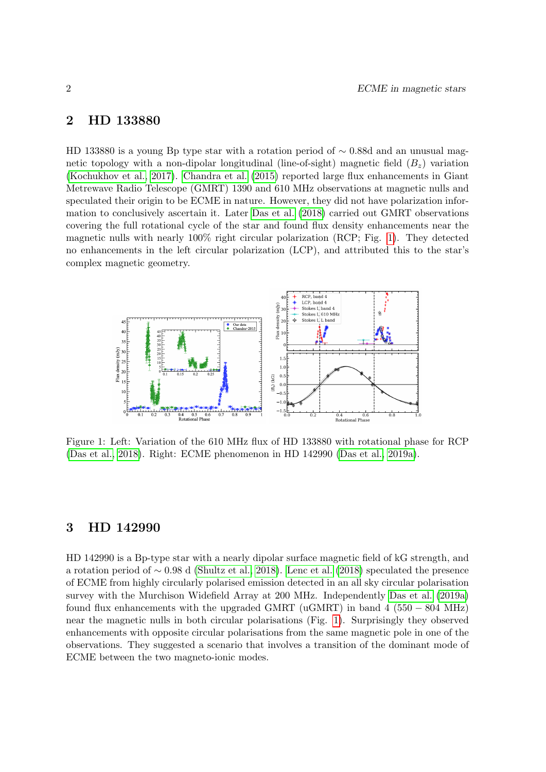#### 2 HD 133880

HD 133880 is a young Bp type star with a rotation period of  $\sim$  0.88d and an unusual magnetic topology with a non-dipolar longitudinal (line-of-sight) magnetic field  $(B_z)$  variation [\(Kochukhov et al., 2017\)](#page-2-4). [Chandra et al.](#page-2-0) [\(2015\)](#page-2-0) reported large flux enhancements in Giant Metrewave Radio Telescope (GMRT) 1390 and 610 MHz observations at magnetic nulls and speculated their origin to be ECME in nature. However, they did not have polarization information to conclusively ascertain it. Later [Das et al.](#page-2-1) [\(2018\)](#page-2-1) carried out GMRT observations covering the full rotational cycle of the star and found flux density enhancements near the magnetic nulls with nearly 100% right circular polarization (RCP; Fig. [1\)](#page-1-0). They detected no enhancements in the left circular polarization (LCP), and attributed this to the star's complex magnetic geometry.



<span id="page-1-0"></span>Figure 1: Left: Variation of the 610 MHz flux of HD 133880 with rotational phase for RCP [\(Das et al., 2018\)](#page-2-1). Right: ECME phenomenon in HD 142990 [\(Das et al., 2019a\)](#page-2-5).

#### 3 HD 142990

HD 142990 is a Bp-type star with a nearly dipolar surface magnetic field of kG strength, and a rotation period of ∼ 0.98 d [\(Shultz et al., 2018\)](#page-2-6). [Lenc et al.](#page-2-7) [\(2018\)](#page-2-7) speculated the presence of ECME from highly circularly polarised emission detected in an all sky circular polarisation survey with the Murchison Widefield Array at 200 MHz. Independently [Das et al.](#page-2-5) [\(2019a\)](#page-2-5) found flux enhancements with the upgraded GMRT (uGMRT) in band 4 (550 – 804 MHz) near the magnetic nulls in both circular polarisations (Fig. [1\)](#page-1-0). Surprisingly they observed enhancements with opposite circular polarisations from the same magnetic pole in one of the observations. They suggested a scenario that involves a transition of the dominant mode of ECME between the two magneto-ionic modes.